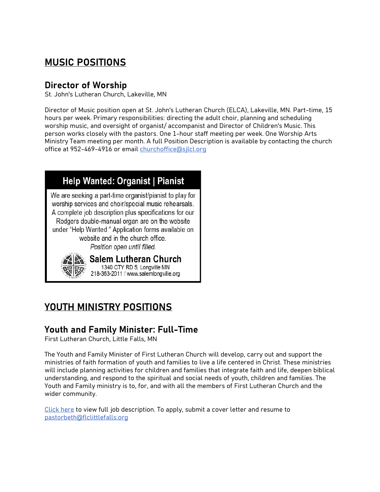# MUSIC POSITIONS

### Director of Worship

St. John's Lutheran Church, Lakeville, MN

Director of Music position open at St. John's Lutheran Church (ELCA), Lakeville, MN. Part-time, 15 hours per week. Primary responsibilities: directing the adult choir, planning and scheduling worship music, and oversight of organist/ accompanist and Director of Children's Music. This person works closely with the pastors. One 1-hour staff meeting per week. One Worship Arts Ministry Team meeting per month. A full Position Description is available by contacting the church office at 952-469-4916 or email churchoffice@silcl.org

## **Help Wanted: Organist | Pianist**

We are seeking a part-time organist/pianist to play for worship services and choir/special music rehearsals. A complete job description plus specifications for our Rodgers double-manual organ are on the website under "Help Wanted." Application forms available on website and in the church office. Position open until filled.



Salem Lutheran Church 1340 CTY RD 5, Longville MN 218-363-2011 / www.salemlongville.org

# YOUTH MINISTRY POSITIONS

### Youth and Family Minister: Full-Time

First Lutheran Church, Little Falls, MN

The Youth and Family Minister of First Lutheran Church will develop, carry out and support the ministries of faith formation of youth and families to live a life centered in Christ. These ministries will include planning activities for children and families that integrate faith and life, deepen biblical understanding, and respond to the spiritual and social needs of youth, children and families. The Youth and Family ministry is to, for, and with all the members of First Lutheran Church and the wider community.

Click here to view full job description. To apply, submit a cover letter and resume to pastorbeth@flclittlefalls.org